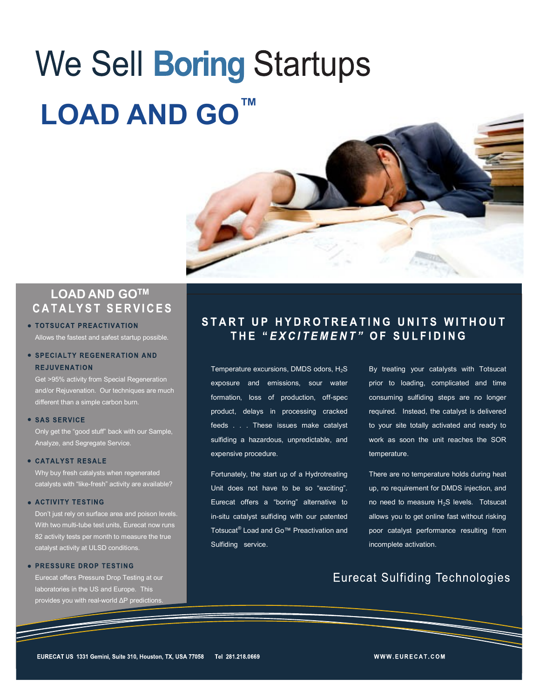# We Sell Boring Startups **LOAD AND GO™**



## **LOAD AND GOTMCATALYST SERVICES**

#### · TOTSUCAT PREACTIVATION Allows the fastest and safest startup possible.

#### · SPECIALTY REGENERATION AND **REJUVENATION**

Get >95% activity from Special Regeneration and/or Rejuvenation. Our techniques are much different than a simple carbon burn.

#### · SAS SERVICE

Only get the "good stuff" back with our Sample, Analyze, and Segregate Service.

#### **• CATALYST RESALE**

Why buy fresh catalysts when regenerated catalysts with "like-fresh" activity are available?

#### **• ACTIVITY TESTING**

Don't just rely on surface area and poison levels. With two multi-tube test units, Eurecat now runs 82 activity tests per month to measure the true catalyst activity at ULSD conditions.

#### · PRESSURE DROP TESTING

Eurecat offers Pressure Drop Testing at our laboratories in the US and Europe. This provides you with real-world ΔP predictions.

### START UP HYDROTREATING UNITS WITHOUT THE "*EXCITEMENT"* OF SULFIDING

Temperature excursions, DMDS odors,  $H_2S$ exposure and emissions, sour water formation, loss of production, off-spec product, delays in processing cracked feeds . . . These issues make catalyst sulfiding a hazardous, unpredictable, and expensive procedure.

Fortunately, the start up of a Hydrotreating Unit does not have to be so "exciting". Eurecat offers a "boring" alternative to in-situ catalyst sulfiding with our patented Totsucat<sup>®</sup> Load and Go™ Preactivation and Sulfiding service.

By treating your catalysts with Totsucat prior to loading, complicated and time consuming sulfiding steps are no longer required. Instead, the catalyst is delivered to your site totally activated and ready to work as soon the unit reaches the SOR temperature.

There are no temperature holds during heat up, no requirement for DMDS injection, and no need to measure  $H_2S$  levels. Totsucat allows you to get online fast without risking poor catalyst performance resulting from incomplete activation.

## **Eurecat Sulfiding Technologies**

WWW.EURECAT.COM